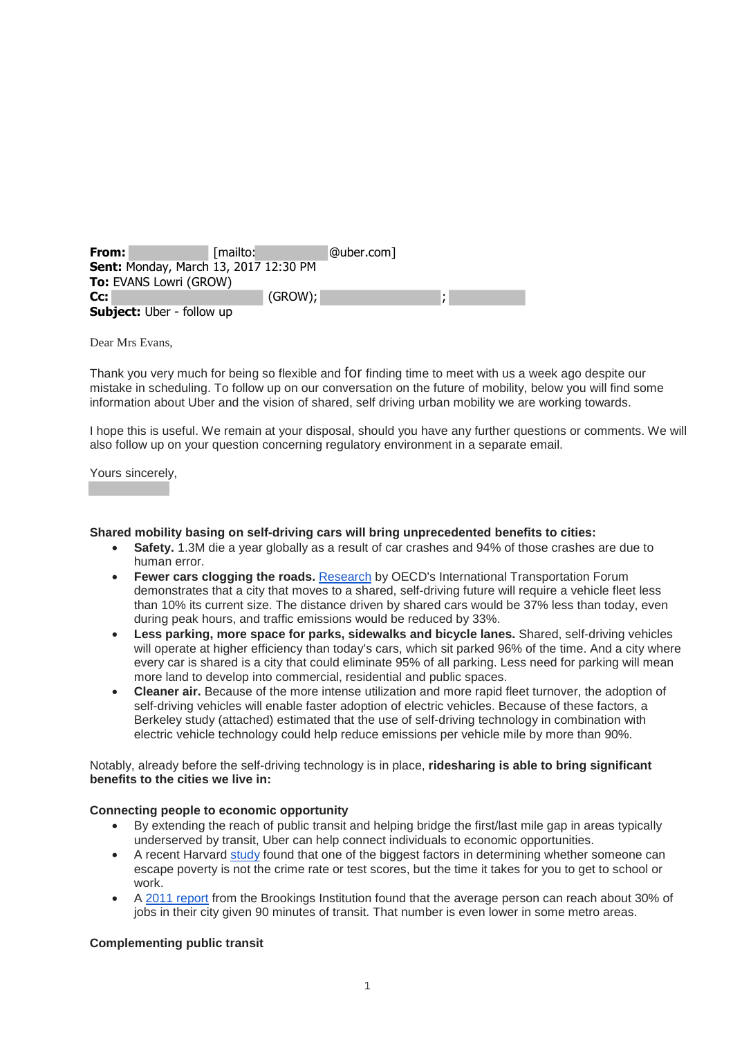| From:                                        | [mailto: | @uber.com] |  |  |
|----------------------------------------------|----------|------------|--|--|
| <b>Sent: Monday, March 13, 2017 12:30 PM</b> |          |            |  |  |
| <b>To: EVANS Lowri (GROW)</b>                |          |            |  |  |
| Cc:                                          | (GROW);  |            |  |  |
| <b>Subject:</b> Uber - follow up             |          |            |  |  |

Dear Mrs Evans,

Thank you very much for being so flexible and for finding time to meet with us a week ago despite our mistake in scheduling. To follow up on our conversation on the future of mobility, below you will find some information about Uber and the vision of shared, self driving urban mobility we are working towards.

I hope this is useful. We remain at your disposal, should you have any further questions or comments. We will also follow up on your question concerning regulatory environment in a separate email.

Yours sincerely,

## **Shared mobility basing on self-driving cars will bring unprecedented benefits to cities:**

- **Safety.** 1.3M die a year globally as a result of car crashes and 94% of those crashes are due to human error.
- **Fewer cars clogging the roads.** Research by OECD's International Transportation Forum demonstrates that a city that moves to a shared, self-driving future will require a vehicle fleet less than 10% its current size. The distance driven by shared cars would be 37% less than today, even during peak hours, and traffic emissions would be reduced by 33%.
- **Less parking, more space for parks, sidewalks and bicycle lanes.** Shared, self-driving vehicles will operate at higher efficiency than today's cars, which sit parked 96% of the time. And a city where every car is shared is a city that could eliminate 95% of all parking. Less need for parking will mean more land to develop into commercial, residential and public spaces.
- **Cleaner air.** Because of the more intense utilization and more rapid fleet turnover, the adoption of self-driving vehicles will enable faster adoption of electric vehicles. Because of these factors, a Berkeley study (attached) estimated that the use of self-driving technology in combination with electric vehicle technology could help reduce emissions per vehicle mile by more than 90%.

Notably, already before the self-driving technology is in place, **ridesharing is able to bring significant benefits to the cities we live in:**

# **Connecting people to economic opportunity**

- By extending the reach of public transit and helping bridge the first/last mile gap in areas typically underserved by transit, Uber can help connect individuals to economic opportunities.
- A recent Harvard study found that one of the biggest factors in determining whether someone can escape poverty is not the crime rate or test scores, but the time it takes for you to get to school or work.
- A 2011 report from the Brookings Institution found that the average person can reach about 30% of jobs in their city given 90 minutes of transit. That number is even lower in some metro areas.

# **Complementing public transit**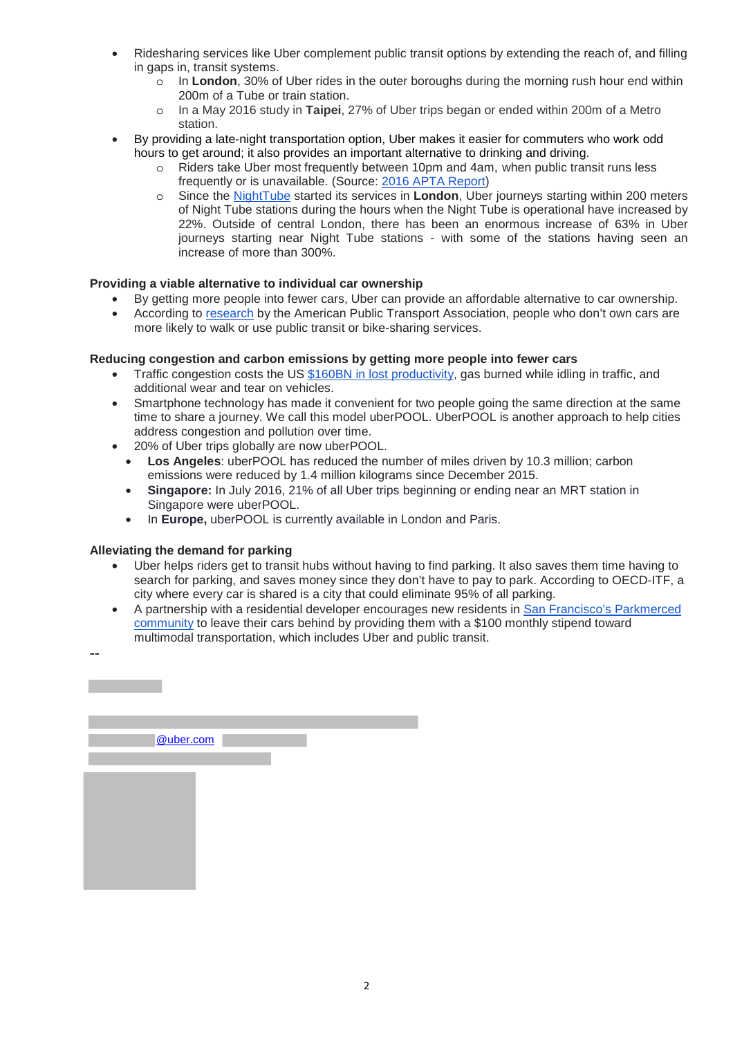- Ridesharing services like Uber complement public transit options by extending the reach of, and filling in gaps in, transit systems.
	- o In **London**, 30% of Uber rides in the outer boroughs during the morning rush hour end within 200m of a Tube or train station.
	- o In a May 2016 study in **Taipei**, 27% of Uber trips began or ended within 200m of a Metro station.
- By providing a late-night transportation option, Uber makes it easier for commuters who work odd hours to get around; it also provides an important alternative to drinking and driving.
	- o Riders take Uber most frequently between 10pm and 4am, when public transit runs less frequently or is unavailable. (Source: 2016 APTA Report)
	- o Since the NightTube started its services in **London**, Uber journeys starting within 200 meters of Night Tube stations during the hours when the Night Tube is operational have increased by 22%. Outside of central London, there has been an enormous increase of 63% in Uber journeys starting near Night Tube stations - with some of the stations having seen an increase of more than 300%.

# **Providing a viable alternative to individual car ownership**

- By getting more people into fewer cars, Uber can provide an affordable alternative to car ownership.
- According to research by the American Public Transport Association, people who don't own cars are more likely to walk or use public transit or bike-sharing services.

# **Reducing congestion and carbon emissions by getting more people into fewer cars**

- Traffic congestion costs the US \$160BN in lost productivity, gas burned while idling in traffic, and additional wear and tear on vehicles.
- Smartphone technology has made it convenient for two people going the same direction at the same time to share a journey. We call this model uberPOOL. UberPOOL is another approach to help cities address congestion and pollution over time.
- 20% of Uber trips globally are now uberPOOL.
	- **Los Angeles**: uberPOOL has reduced the number of miles driven by 10.3 million; carbon emissions were reduced by 1.4 million kilograms since December 2015.
	- **Singapore:** In July 2016, 21% of all Uber trips beginning or ending near an MRT station in Singapore were uberPOOL.
	- In **Europe,** uberPOOL is currently available in London and Paris.

# **Alleviating the demand for parking**

--

- Uber helps riders get to transit hubs without having to find parking. It also saves them time having to search for parking, and saves money since they don't have to pay to park. According to OECD-ITF, a city where every car is shared is a city that could eliminate 95% of all parking.
- A partnership with a residential developer encourages new residents in San Francisco's Parkmerced community to leave their cars behind by providing them with a \$100 monthly stipend toward multimodal transportation, which includes Uber and public transit.

| @uber.com |  |
|-----------|--|
|           |  |
|           |  |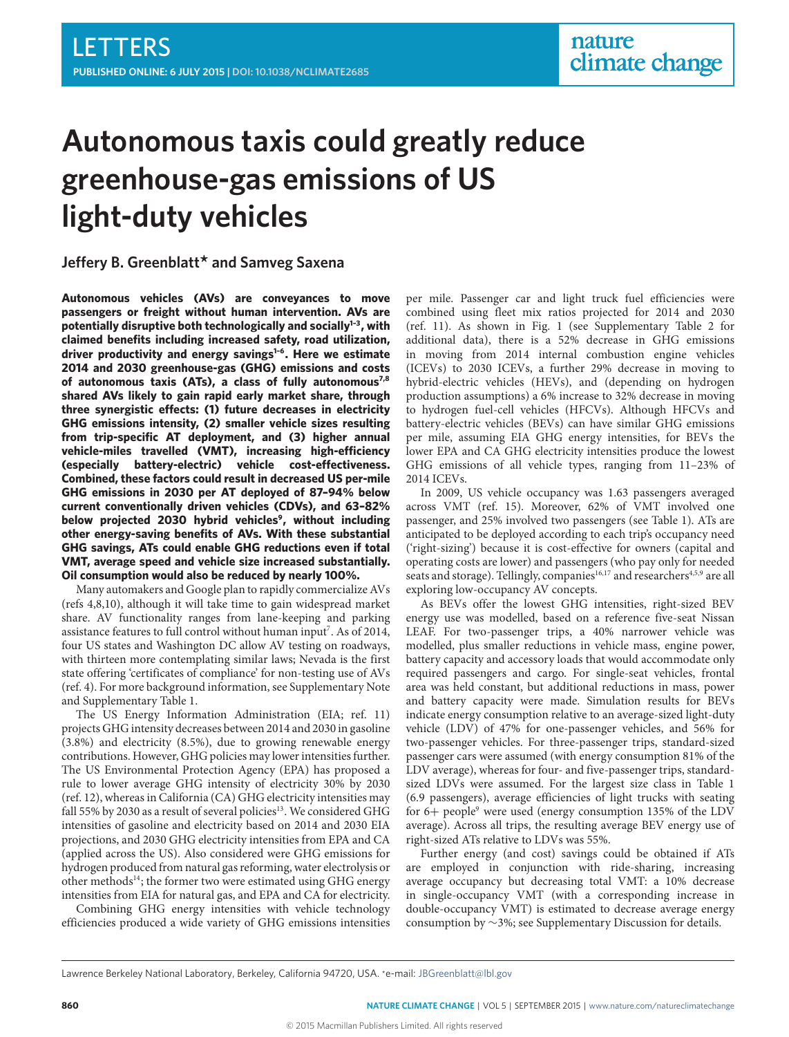# **Autonomous taxis could greatly reduce greenhouse-gas emissions of US light-duty vehicles**

# **Jeffery B. Greenblatt<sup>\*</sup> and Samveg Saxena**

**Autonomous vehicles (AVs) are conveyances to move passengers or freight without human intervention. AVs are potentially disruptive both technologically and socially[1](#page-5-0)[–3](#page-5-1) , with claimed benefits including increased safety, road utilization, driver productivity and energy savings[1](#page-5-0)[–6](#page-5-2) . Here we estimate 2014 and 2030 greenhouse-gas (GHG) emissions and costs of autonomous taxis (ATs), a class of fully autonomous[7,](#page-5-3)[8](#page-5-4) shared AVs likely to gain rapid early market share, through** three synergistic effects: (1) future decreases in electricity **GHG emissions intensity, (2) smaller vehicle sizes resulting from trip-specific AT deployment, and (3) higher annual** vehicle-miles travelled (VMT), increasing high-efficiency (especially battery-electric) vehicle cost-effectiveness. **Combined, these factors could result in decreased US per-mile GHG emissions in 2030 per AT deployed of 87–94% below current conventionally driven vehicles (CDVs), and 63–82% below projected 2030 hybrid vehicles[9](#page-5-5) , without including other energy-saving benefits of AVs. With these substantial GHG savings, ATs could enable GHG reductions even if total VMT, average speed and vehicle size increased substantially. Oil consumption would also be reduced by nearly 100%.**

Many automakers and Google plan to rapidly commercialize AVs (refs [4](#page-5-6)[,8,](#page-5-4)[10\)](#page-5-7), although it will take time to gain widespread market share. AV functionality ranges from lane-keeping and parking assistance features to full control without human input<sup>[7](#page-5-3)</sup>. As of 2014, four US states and Washington DC allow AV testing on roadways, with thirteen more contemplating similar laws; Nevada is the first state offering 'certificates of compliance' for non-testing use of AVs (ref. [4\)](#page-5-6). For more background information, see Supplementary Note and Supplementary Table 1.

The US Energy Information Administration (EIA; ref. [11\)](#page-5-8) projects GHG intensity decreases between 2014 and 2030 in gasoline (3.8%) and electricity (8.5%), due to growing renewable energy contributions. However, GHG policies may lower intensities further. The US Environmental Protection Agency (EPA) has proposed a rule to lower average GHG intensity of electricity 30% by 2030 (ref. [12\)](#page-5-9), whereas in California (CA) GHG electricity intensities may fall 55% by 2030 as a result of several policies<sup>[13](#page-5-10)</sup>. We considered GHG intensities of gasoline and electricity based on 2014 and 2030 EIA projections, and 2030 GHG electricity intensities from EPA and CA (applied across the US). Also considered were GHG emissions for hydrogen produced from natural gas reforming, water electrolysis or other methods<sup>[14](#page-5-11)</sup>; the former two were estimated using GHG energy intensities from EIA for natural gas, and EPA and CA for electricity.

Combining GHG energy intensities with vehicle technology efficiencies produced a wide variety of GHG emissions intensities

per mile. Passenger car and light truck fuel efficiencies were combined using fleet mix ratios projected for 2014 and 2030 (ref. [11\)](#page-5-8). As shown in Fig. [1](#page-3-0) (see Supplementary Table 2 for additional data), there is a 52% decrease in GHG emissions in moving from 2014 internal combustion engine vehicles (ICEVs) to 2030 ICEVs, a further 29% decrease in moving to hybrid-electric vehicles (HEVs), and (depending on hydrogen production assumptions) a 6% increase to 32% decrease in moving to hydrogen fuel-cell vehicles (HFCVs). Although HFCVs and battery-electric vehicles (BEVs) can have similar GHG emissions per mile, assuming EIA GHG energy intensities, for BEVs the lower EPA and CA GHG electricity intensities produce the lowest GHG emissions of all vehicle types, ranging from 11–23% of 2014 ICEVs.

In 2009, US vehicle occupancy was 1.63 passengers averaged across VMT (ref. [15\)](#page-5-12). Moreover, 62% of VMT involved one passenger, and 25% involved two passengers (see Table [1\)](#page-3-1). ATs are anticipated to be deployed according to each trip's occupancy need ('right-sizing') because it is cost-effective for owners (capital and operating costs are lower) and passengers (who pay only for needed seats and storage). Tellingly, companies<sup>[16,](#page-5-13)[17](#page-5-14)</sup> and researchers<sup>[4](#page-5-6)[,5,](#page-5-15)[9](#page-5-5)</sup> are all exploring low-occupancy AV concepts.

As BEVs offer the lowest GHG intensities, right-sized BEV energy use was modelled, based on a reference five-seat Nissan LEAF. For two-passenger trips, a 40% narrower vehicle was modelled, plus smaller reductions in vehicle mass, engine power, battery capacity and accessory loads that would accommodate only required passengers and cargo. For single-seat vehicles, frontal area was held constant, but additional reductions in mass, power and battery capacity were made. Simulation results for BEVs indicate energy consumption relative to an average-sized light-duty vehicle (LDV) of 47% for one-passenger vehicles, and 56% for two-passenger vehicles. For three-passenger trips, standard-sized passenger cars were assumed (with energy consumption 81% of the LDV average), whereas for four- and five-passenger trips, standardsized LDVs were assumed. For the largest size class in Table [1](#page-3-1) (6.9 passengers), average efficiencies of light trucks with seating for  $6+$  people<sup>[9](#page-5-5)</sup> were used (energy consumption 135% of the LDV average). Across all trips, the resulting average BEV energy use of right-sized ATs relative to LDVs was 55%.

Further energy (and cost) savings could be obtained if ATs are employed in conjunction with ride-sharing, increasing average occupancy but decreasing total VMT: a 10% decrease in single-occupancy VMT (with a corresponding increase in double-occupancy VMT) is estimated to decrease average energy consumption by ∼3%; see Supplementary Discussion for details.

Lawrence Berkeley National Laboratory, Berkeley, California 94720, USA. \*e-mail: [JBGreenblatt@lbl.gov](mailto:JBGreenblatt@lbl.gov)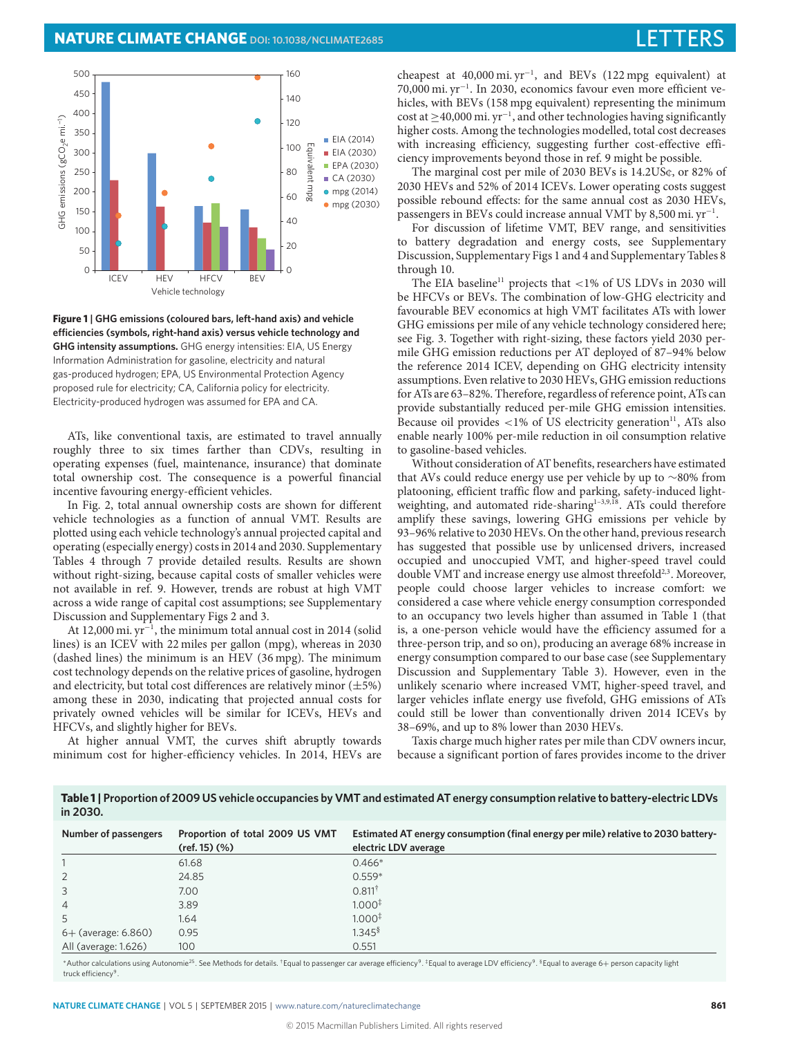

<span id="page-3-0"></span>**Figure 1 | GHG emissions (coloured bars, left-hand axis) and vehicle** efficiencies (symbols, right-hand axis) versus vehicle technology and **GHG intensity assumptions.** GHG energy intensities: EIA, US Energy Information Administration for gasoline, electricity and natural gas-produced hydrogen; EPA, US Environmental Protection Agency proposed rule for electricity; CA, California policy for electricity. Electricity-produced hydrogen was assumed for EPA and CA.

ATs, like conventional taxis, are estimated to travel annually roughly three to six times farther than CDVs, resulting in operating expenses (fuel, maintenance, insurance) that dominate total ownership cost. The consequence is a powerful financial incentive favouring energy-efficient vehicles.

In Fig. [2,](#page-4-0) total annual ownership costs are shown for different vehicle technologies as a function of annual VMT. Results are plotted using each vehicle technology's annual projected capital and operating (especially energy) costs in 2014 and 2030. Supplementary Tables 4 through 7 provide detailed results. Results are shown without right-sizing, because capital costs of smaller vehicles were not available in ref. [9.](#page-5-5) However, trends are robust at high VMT across a wide range of capital cost assumptions; see Supplementary Discussion and Supplementary Figs 2 and 3.

At 12,000 mi. yr<sup>−</sup><sup>1</sup> , the minimum total annual cost in 2014 (solid lines) is an ICEV with 22 miles per gallon (mpg), whereas in 2030 (dashed lines) the minimum is an HEV (36 mpg). The minimum cost technology depends on the relative prices of gasoline, hydrogen and electricity, but total cost differences are relatively minor  $(\pm 5\%)$ among these in 2030, indicating that projected annual costs for privately owned vehicles will be similar for ICEVs, HEVs and HFCVs, and slightly higher for BEVs.

At higher annual VMT, the curves shift abruptly towards minimum cost for higher-efficiency vehicles. In 2014, HEVs are

cheapest at 40,000 mi. yr<sup>−</sup><sup>1</sup> , and BEVs (122 mpg equivalent) at 70,000 mi. yr<sup>−</sup><sup>1</sup> . In 2030, economics favour even more efficient vehicles, with BEVs (158 mpg equivalent) representing the minimum cost at ≥40,000 mi. yr<sup>−</sup><sup>1</sup> , and other technologies having significantly higher costs. Among the technologies modelled, total cost decreases with increasing efficiency, suggesting further cost-effective efficiency improvements beyond those in ref. [9](#page-5-5) might be possible.

The marginal cost per mile of 2030 BEVs is 14.2US¢, or 82% of 2030 HEVs and 52% of 2014 ICEVs. Lower operating costs suggest possible rebound effects: for the same annual cost as 2030 HEVs, passengers in BEVs could increase annual VMT by 8,500 mi. yr<sup>-1</sup>.

For discussion of lifetime VMT, BEV range, and sensitivities to battery degradation and energy costs, see Supplementary Discussion, Supplementary Figs 1 and 4 and Supplementary Tables 8 through 10.

The EIA baseline<sup>[11](#page-5-8)</sup> projects that  $\langle 1\% \rangle$  of US LDVs in 2030 will be HFCVs or BEVs. The combination of low-GHG electricity and favourable BEV economics at high VMT facilitates ATs with lower GHG emissions per mile of any vehicle technology considered here; see Fig. [3.](#page-4-1) Together with right-sizing, these factors yield 2030 permile GHG emission reductions per AT deployed of 87–94% below the reference 2014 ICEV, depending on GHG electricity intensity assumptions. Even relative to 2030 HEVs, GHG emission reductions for ATs are 63–82%. Therefore, regardless of reference point, ATs can provide substantially reduced per-mile GHG emission intensities. Because oil provides  $<1\%$  of US electricity generation<sup>[11](#page-5-8)</sup>, ATs also enable nearly 100% per-mile reduction in oil consumption relative to gasoline-based vehicles.

Without consideration of AT benefits, researchers have estimated that AVs could reduce energy use per vehicle by up to ∼80% from platooning, efficient traffic flow and parking, safety-induced light-weighting, and automated ride-sharing<sup>1-[3,](#page-5-1)[9,](#page-5-5)[18](#page-5-16)</sup>. ATs could therefore amplify these savings, lowering GHG emissions per vehicle by 93–96% relative to 2030 HEVs. On the other hand, previous research has suggested that possible use by unlicensed drivers, increased occupied and unoccupied VMT, and higher-speed travel could double VMT and increase energy use almost threefold<sup>[2](#page-5-17)[,3](#page-5-1)</sup>. Moreover, people could choose larger vehicles to increase comfort: we considered a case where vehicle energy consumption corresponded to an occupancy two levels higher than assumed in Table [1](#page-3-1) (that is, a one-person vehicle would have the efficiency assumed for a three-person trip, and so on), producing an average 68% increase in energy consumption compared to our base case (see Supplementary Discussion and Supplementary Table 3). However, even in the unlikely scenario where increased VMT, higher-speed travel, and larger vehicles inflate energy use fivefold, GHG emissions of ATs could still be lower than conventionally driven 2014 ICEVs by 38–69%, and up to 8% lower than 2030 HEVs.

Taxis charge much higher rates per mile than CDV owners incur, because a significant portion of fares provides income to the driver

<span id="page-3-1"></span>**Table 1 | Proportion of 2009 US vehicle occupancies by VMT and estimated AT energy consumption relative to battery-electric LDVs in 2030.**

| Number of passengers  | Proportion of total 2009 US VMT<br>$(ref. 15)$ $(\%)$ | Estimated AT energy consumption (final energy per mile) relative to 2030 battery-<br>electric LDV average |
|-----------------------|-------------------------------------------------------|-----------------------------------------------------------------------------------------------------------|
|                       | 61.68                                                 | $0.466*$                                                                                                  |
| 2                     | 24.85                                                 | $0.559*$                                                                                                  |
| 3                     | 7.00                                                  | $0.811^{\dagger}$                                                                                         |
| $\overline{4}$        | 3.89                                                  | $1.000*$                                                                                                  |
|                       | 1.64                                                  | $1.000*$                                                                                                  |
| $6+$ (average: 6.860) | 0.95                                                  | $1.345$ <sup>§</sup>                                                                                      |
| All (average: 1.626)  | 100                                                   | 0.551                                                                                                     |

\*Author calculations using Autonomie<sup>[25](#page-5-18)</sup>. See Methods for details. †Equal to passenger car average efficiency<sup>[9](#page-5-5)</sup>. <sup>\$</sup>Equal to average LDV efficiency<sup>9</sup>. <sup>\$</sup>Equal to average 6+ person capacity light truck efficiency<sup>[9](#page-5-5)</sup> .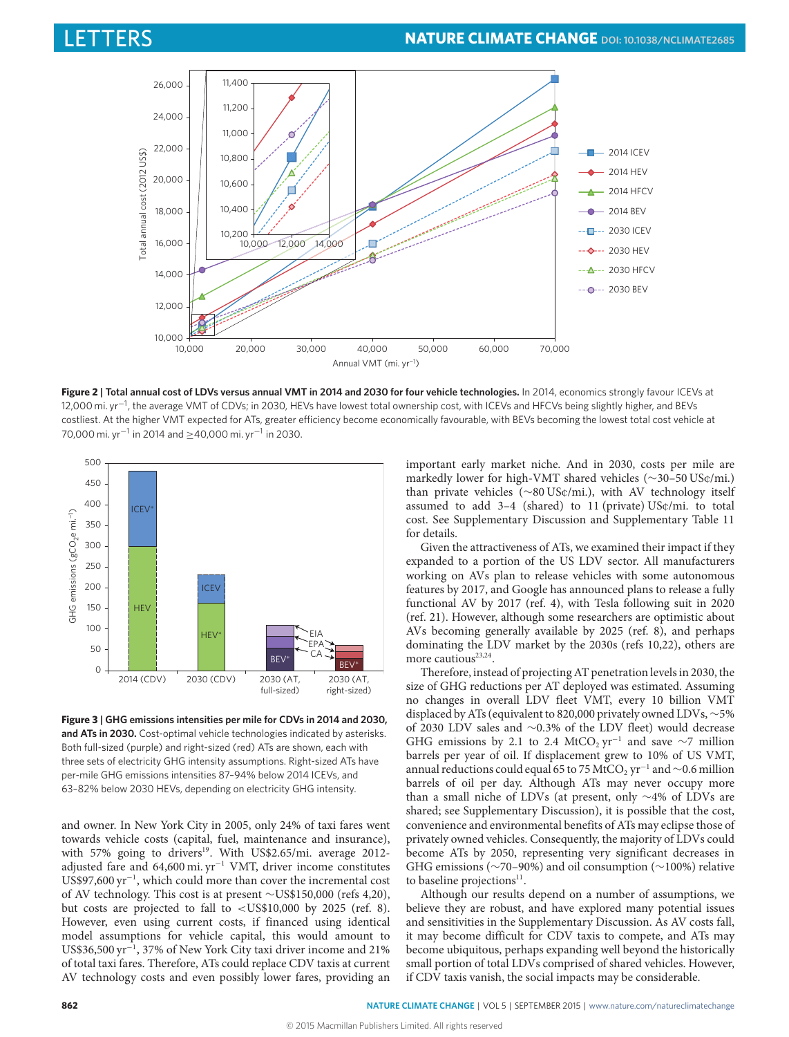

Figure 2 | Total annual cost of LDVs versus annual VMT in 2014 and 2030 for four vehicle technologies. In 2014, economics strongly favour ICEVs at 12,000 mi. yr<sup>−1</sup>, the average VMT of CDVs; in 2030, HEVs have lowest total ownership cost, with ICEVs and HFCVs being slightly higher, and BEVs costliest. At the higher VMT expected for ATs, greater efficiency become economically favourable, with BEVs becoming the lowest total cost vehicle at 70,000 mi. yr−<sup>1</sup> in 2014 and ≥40,000 mi. yr−<sup>1</sup> in 2030.



<span id="page-4-1"></span>**Figure 3 | GHG emissions intensities per mile for CDVs in 2014 and 2030, and ATs in 2030.** Cost-optimal vehicle technologies indicated by asterisks. Both full-sized (purple) and right-sized (red) ATs are shown, each with three sets of electricity GHG intensity assumptions. Right-sized ATs have per-mile GHG emissions intensities 87–94% below 2014 ICEVs, and 63–82% below 2030 HEVs, depending on electricity GHG intensity.

and owner. In New York City in 2005, only 24% of taxi fares went towards vehicle costs (capital, fuel, maintenance and insurance), with 57% going to drivers<sup>[19](#page-5-19)</sup>. With US\$2.65/mi. average 2012adjusted fare and 64,600 mi. yr<sup>−</sup><sup>1</sup> VMT, driver income constitutes US\$97,600 yr<sup>−</sup><sup>1</sup> , which could more than cover the incremental cost of AV technology. This cost is at present ∼US\$150,000 (refs [4](#page-5-6)[,20\)](#page-5-20), but costs are projected to fall to <US\$10,000 by 2025 (ref. [8\)](#page-5-4). However, even using current costs, if financed using identical model assumptions for vehicle capital, this would amount to US\$36,500 yr<sup>-1</sup>, 37% of New York City taxi driver income and 21% of total taxi fares. Therefore, ATs could replace CDV taxis at current AV technology costs and even possibly lower fares, providing an <span id="page-4-0"></span>important early market niche. And in 2030, costs per mile are markedly lower for high-VMT shared vehicles (∼30–50 US¢/mi.) than private vehicles (∼80 US¢/mi.), with AV technology itself assumed to add 3–4 (shared) to 11 (private) US¢/mi. to total cost. See Supplementary Discussion and Supplementary Table 11 for details.

Given the attractiveness of ATs, we examined their impact if they expanded to a portion of the US LDV sector. All manufacturers working on AVs plan to release vehicles with some autonomous features by 2017, and Google has announced plans to release a fully functional AV by 2017 (ref. [4\)](#page-5-6), with Tesla following suit in 2020 (ref. [21\)](#page-5-21). However, although some researchers are optimistic about AVs becoming generally available by 2025 (ref. [8\)](#page-5-4), and perhaps dominating the LDV market by the 2030s (refs [10,](#page-5-7)[22\)](#page-5-22), others are more cautious<sup>[23,](#page-5-23)[24](#page-5-24)</sup>.

Therefore, instead of projecting AT penetration levels in 2030, the size of GHG reductions per AT deployed was estimated. Assuming no changes in overall LDV fleet VMT, every 10 billion VMT displaced by ATs (equivalent to 820,000 privately owned LDVs, ∼5% of 2030 LDV sales and ∼0.3% of the LDV fleet) would decrease GHG emissions by 2.1 to 2.4 MtCO<sub>2</sub> yr<sup>-1</sup> and save ∼7 million barrels per year of oil. If displacement grew to 10% of US VMT, annual reductions could equal 65 to 75 MtCO<sub>2</sub> yr<sup>-1</sup> and  $\sim$ 0.6 million barrels of oil per day. Although ATs may never occupy more than a small niche of LDVs (at present, only ∼4% of LDVs are shared; see Supplementary Discussion), it is possible that the cost, convenience and environmental benefits of ATs may eclipse those of privately owned vehicles. Consequently, the majority of LDVs could become ATs by 2050, representing very significant decreases in GHG emissions (∼70–90%) and oil consumption (∼100%) relative to baseline projections<sup>[11](#page-5-8)</sup>.

Although our results depend on a number of assumptions, we believe they are robust, and have explored many potential issues and sensitivities in the Supplementary Discussion. As AV costs fall, it may become difficult for CDV taxis to compete, and ATs may become ubiquitous, perhaps expanding well beyond the historically small portion of total LDVs comprised of shared vehicles. However, if CDV taxis vanish, the social impacts may be considerable.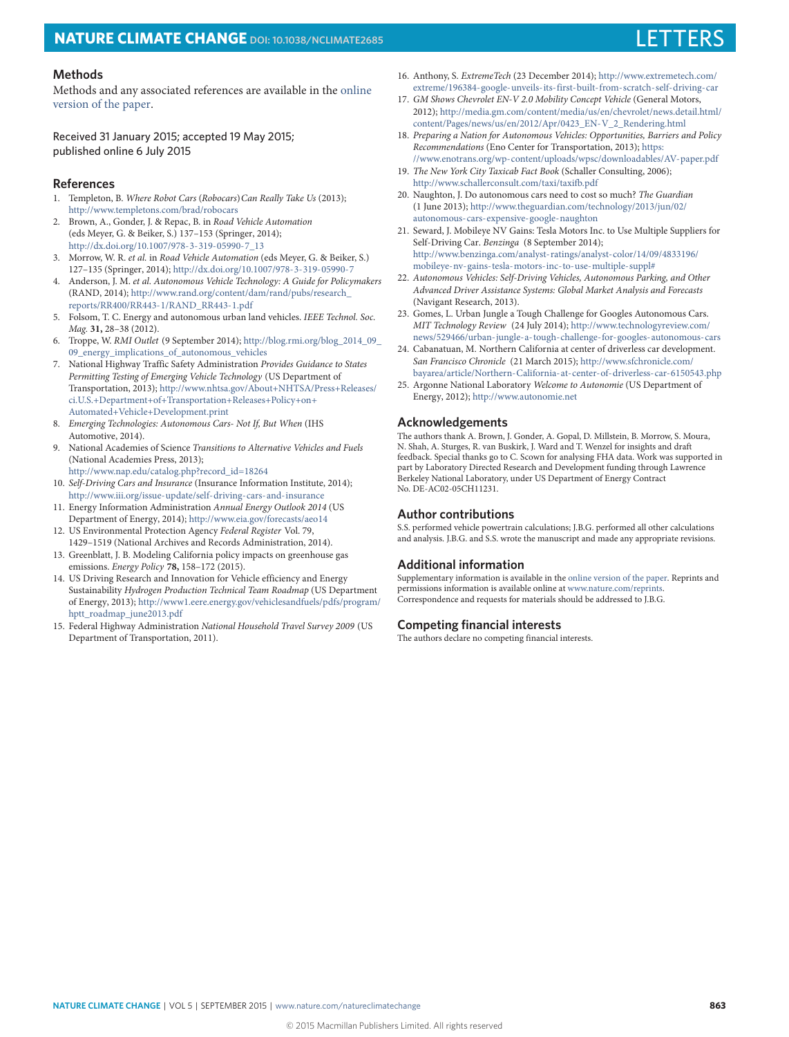# **NATURE CLIMATE CHANGE** DOI: [10.1038/NCLIMATE2685](http://dx.doi.org/10.1038/nclimate2685)

### **Methods**

Methods and any associated references are available in the [online](http://dx.doi.org/10.1038/nclimate2685) [version of the paper.](http://dx.doi.org/10.1038/nclimate2685)

Received 31 January 2015; accepted 19 May 2015; published online 6 July 2015

### **References**

- <span id="page-5-0"></span>1. Templeton, B. Where Robot Cars (Robocars) Can Really Take Us (2013); <http://www.templetons.com/brad/robocars>
- <span id="page-5-17"></span>2. Brown, A., Gonder, J. & Repac, B. in Road Vehicle Automation (eds Meyer, G. & Beiker, S.) 137–153 (Springer, 2014); [http://dx.doi.org/10.1007/978-3-319-05990-7\\_13](http://dx.doi.org/10.1007/978-3-319-05990-7_13)
- <span id="page-5-1"></span>3. Morrow, W. R. et al. in Road Vehicle Automation (eds Meyer, G. & Beiker, S.) 127–135 (Springer, 2014); <http://dx.doi.org/10.1007/978-3-319-05990-7>
- <span id="page-5-6"></span>4. Anderson, J. M. et al. Autonomous Vehicle Technology: A Guide for Policymakers (RAND, 2014); [http://www.rand.org/content/dam/rand/pubs/research\\_](http://www.rand.org/content/dam/rand/pubs/research_reports/RR400/RR443-1/RAND_RR443-1.pdf) [reports/RR400/RR443-1/RAND\\_RR443-1.pdf](http://www.rand.org/content/dam/rand/pubs/research_reports/RR400/RR443-1/RAND_RR443-1.pdf)
- <span id="page-5-15"></span>5. Folsom, T. C. Energy and autonomous urban land vehicles. IEEE Technol. Soc. Mag. **31,** 28–38 (2012).
- <span id="page-5-2"></span>6. Troppe, W. RMI Outlet (9 September 2014); [http://blog.rmi.org/blog\\_2014\\_09\\_](http://blog.rmi.org/blog_2014_09_09_energy_implications_of_autonomous_vehicles) [09\\_energy\\_implications\\_of\\_autonomous\\_vehicles](http://blog.rmi.org/blog_2014_09_09_energy_implications_of_autonomous_vehicles)
- <span id="page-5-3"></span>7. National Highway Traffic Safety Administration Provides Guidance to States Permitting Testing of Emerging Vehicle Technology (US Department of Transportation, 2013); [http://www.nhtsa.gov/About+NHTSA/Press+Releases/](http://www.nhtsa.gov/About+NHTSA/Press+Releases/ci.U.S.+Department+of+Transportation+Releases+Policy+on+Automated+Vehicle+Development.print) [ci.U.S.+Department+of+Transportation+Releases+Policy+on+](http://www.nhtsa.gov/About+NHTSA/Press+Releases/ci.U.S.+Department+of+Transportation+Releases+Policy+on+Automated+Vehicle+Development.print) [Automated+Vehicle+Development.print](http://www.nhtsa.gov/About+NHTSA/Press+Releases/ci.U.S.+Department+of+Transportation+Releases+Policy+on+Automated+Vehicle+Development.print)
- <span id="page-5-4"></span>8. Emerging Technologies: Autonomous Cars- Not If, But When (IHS Automotive, 2014).
- <span id="page-5-5"></span>9. National Academies of Science Transitions to Alternative Vehicles and Fuels (National Academies Press, 2013);
- <span id="page-5-7"></span>[http://www.nap.edu/catalog.php?record\\_id=18264](http://www.nap.edu/catalog.php?record_id=18264) 10. Self-Driving Cars and Insurance (Insurance Information Institute, 2014);
- <span id="page-5-8"></span><http://www.iii.org/issue-update/self-driving-cars-and-insurance> 11. Energy Information Administration Annual Energy Outlook 2014 (US Department of Energy, 2014); <http://www.eia.gov/forecasts/aeo14>
- <span id="page-5-9"></span>12. US Environmental Protection Agency Federal Register Vol. 79,
- <span id="page-5-10"></span>1429–1519 (National Archives and Records Administration, 2014). 13. Greenblatt, J. B. Modeling California policy impacts on greenhouse gas emissions. Energy Policy **78,** 158–172 (2015).
- <span id="page-5-11"></span>14. US Driving Research and Innovation for Vehicle efficiency and Energy Sustainability Hydrogen Production Technical Team Roadmap (US Department of Energy, 2013); [http://www1.eere.energy.gov/vehiclesandfuels/pdfs/program/](http://www1.eere.energy.gov/vehiclesandfuels/pdfs/program/hptt_roadmap_june2013.pdf) [hptt\\_roadmap\\_june2013.pdf](http://www1.eere.energy.gov/vehiclesandfuels/pdfs/program/hptt_roadmap_june2013.pdf)
- <span id="page-5-12"></span>15. Federal Highway Administration National Household Travel Survey 2009 (US Department of Transportation, 2011).
- <span id="page-5-13"></span>16. Anthony, S. ExtremeTech (23 December 2014); [http://www.extremetech.com/](http://www.extremetech.com/extreme/196384-google-unveils-its-first-built-from-scratch-self-driving-car) [extreme/196384-google-unveils-its-first-built-from-scratch-self-driving-car](http://www.extremetech.com/extreme/196384-google-unveils-its-first-built-from-scratch-self-driving-car)
- <span id="page-5-14"></span>17. GM Shows Chevrolet EN-V 2.0 Mobility Concept Vehicle (General Motors, 2012); [http://media.gm.com/content/media/us/en/chevrolet/news.detail.html/](http://media.gm.com/content/media/us/en/chevrolet/news.detail.html/content/Pages/news/us/en/2012/Apr/0423_EN-V_2_Rendering.html) [content/Pages/news/us/en/2012/Apr/0423\\_EN-V\\_2\\_Rendering.html](http://media.gm.com/content/media/us/en/chevrolet/news.detail.html/content/Pages/news/us/en/2012/Apr/0423_EN-V_2_Rendering.html)
- <span id="page-5-16"></span>18. Preparing a Nation for Autonomous Vehicles: Opportunities, Barriers and Policy Recommendations (Eno Center for Transportation, 2013); [https:](https://www.enotrans.org/wp-content/uploads/wpsc/downloadables/AV-paper.pdf) [//www.enotrans.org/wp-content/uploads/wpsc/downloadables/AV-paper.pdf](https://www.enotrans.org/wp-content/uploads/wpsc/downloadables/AV-paper.pdf)
- <span id="page-5-19"></span>19. The New York City Taxicab Fact Book (Schaller Consulting, 2006); <http://www.schallerconsult.com/taxi/taxifb.pdf>
- <span id="page-5-20"></span>20. Naughton, J. Do autonomous cars need to cost so much? The Guardian (1 June 2013); [http://www.theguardian.com/technology/2013/jun/02/](http://www.theguardian.com/technology/2013/jun/02/autonomous-cars-expensive-google-naughton) [autonomous-cars-expensive-google-naughton](http://www.theguardian.com/technology/2013/jun/02/autonomous-cars-expensive-google-naughton)
- <span id="page-5-21"></span>21. Seward, J. Mobileye NV Gains: Tesla Motors Inc. to Use Multiple Suppliers for Self-Driving Car. Benzinga (8 September 2014); [http://www.benzinga.com/analyst-ratings/analyst-color/14/09/4833196/](http://www.benzinga.com/analyst-ratings/analyst-color/14/09/4833196/mobileye-nv-gains-tesla-motors-inc-to-use-multiple-suppl#) [mobileye-nv-gains-tesla-motors-inc-to-use-multiple-suppl#](http://www.benzinga.com/analyst-ratings/analyst-color/14/09/4833196/mobileye-nv-gains-tesla-motors-inc-to-use-multiple-suppl#)
- <span id="page-5-22"></span>22. Autonomous Vehicles: Self-Driving Vehicles, Autonomous Parking, and Other Advanced Driver Assistance Systems: Global Market Analysis and Forecasts (Navigant Research, 2013).
- <span id="page-5-23"></span>23. Gomes, L. Urban Jungle a Tough Challenge for Googles Autonomous Cars. MIT Technology Review (24 July 2014); [http://www.technologyreview.com/](http://www.technologyreview.com/news/529466/urban-jungle-a-tough-challenge-for-googles-autonomous-cars) [news/529466/urban-jungle-a-tough-challenge-for-googles-autonomous-cars](http://www.technologyreview.com/news/529466/urban-jungle-a-tough-challenge-for-googles-autonomous-cars)
- <span id="page-5-24"></span>24. Cabanatuan, M. Northern California at center of driverless car development. San Francisco Chronicle (21 March 2015); [http://www.sfchronicle.com/](http://www.sfchronicle.com/bayarea/article/Northern-California-at-center-of-driverless-car-6150543.php) [bayarea/article/Northern-California-at-center-of-driverless-car-6150543.php](http://www.sfchronicle.com/bayarea/article/Northern-California-at-center-of-driverless-car-6150543.php)
- <span id="page-5-18"></span>25. Argonne National Laboratory Welcome to Autonomie (US Department of Energy, 2012); <http://www.autonomie.net>

### **Acknowledgements**

The authors thank A. Brown, J. Gonder, A. Gopal, D. Millstein, B. Morrow, S. Moura, N. Shah, A. Sturges, R. van Buskirk, J. Ward and T. Wenzel for insights and draft feedback. Special thanks go to C. Scown for analysing FHA data. Work was supported in part by Laboratory Directed Research and Development funding through Lawrence Berkeley National Laboratory, under US Department of Energy Contract No. DE-AC02-05CH11231.

### **Author contributions**

S.S. performed vehicle powertrain calculations; J.B.G. performed all other calculations and analysis. J.B.G. and S.S. wrote the manuscript and made any appropriate revisions.

#### **Additional information**

Supplementary information is available in the [online version of the paper.](http://dx.doi.org/10.1038/nclimate2685) Reprints and permissions information is available online at [www.nature.com/reprints.](http://www.nature.com/reprints) Correspondence and requests for materials should be addressed to J.B.G.

### **Competing financial interests**

The authors declare no competing financial interests.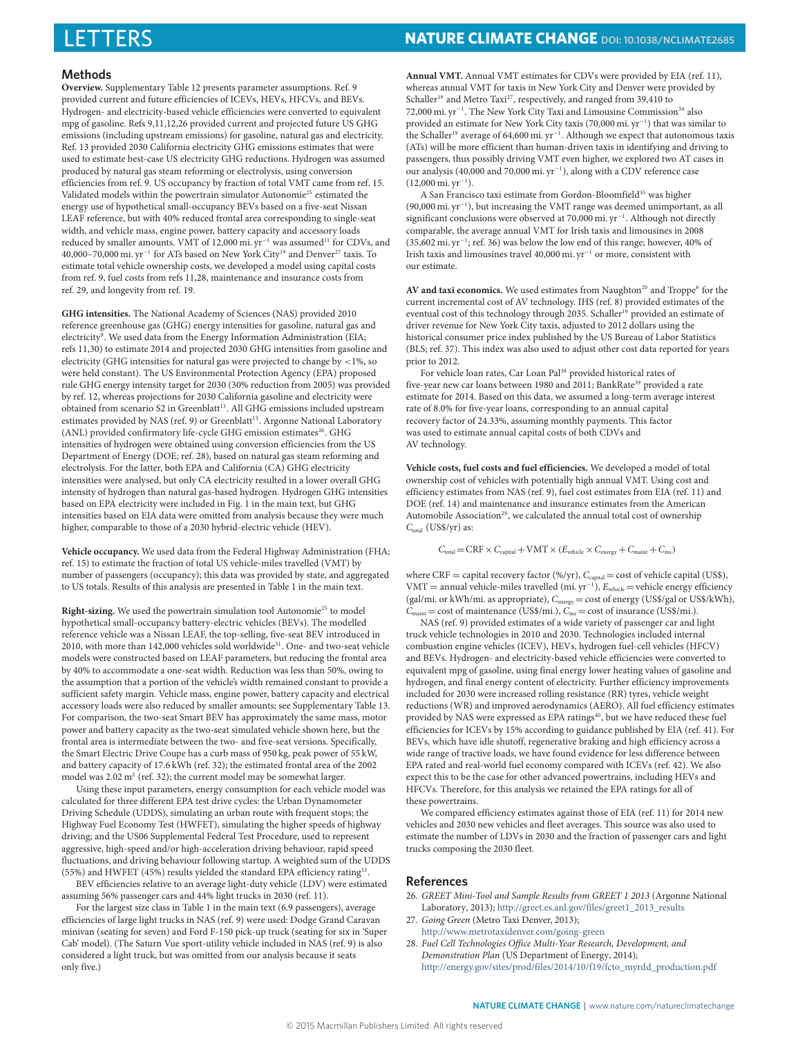### **Methods**

**Overview.** Supplementary Table 12 presents parameter assumptions. Ref. [9](#page-5-5) provided current and future efficiencies of ICEVs, HEVs, HFCVs, and BEVs. Hydrogen- and electricity-based vehicle efficiencies were converted to equivalent mpg of gasoline. Refs [9,](#page-5-5)[11,](#page-5-8)[12,](#page-5-9)[26](#page-6-0) provided current and projected future US GHG emissions (including upstream emissions) for gasoline, natural gas and electricity. Ref. [13](#page-5-10) provided 2030 California electricity GHG emissions estimates that were used to estimate best-case US electricity GHG reductions. Hydrogen was assumed produced by natural gas steam reforming or electrolysis, using conversion efficiencies from ref. [9.](#page-5-5) US occupancy by fraction of total VMT came from ref. [15.](#page-5-12) Validated models within the powertrain simulator Autonomie<sup>[25](#page-5-18)</sup> estimated the energy use of hypothetical small-occupancy BEVs based on a five-seat Nissan LEAF reference, but with 40% reduced frontal area corresponding to single-seat width, and vehicle mass, engine power, battery capacity and accessory loads reduced by smaller amounts. VMT of 12,000 mi.  $yr^{-1}$  was assumed<sup>[11](#page-5-8)</sup> for CDVs, and 40,000–70,000 mi. yr<sup>−</sup><sup>1</sup> for ATs based on New York City[19](#page-5-19) and Denver[27](#page-6-1) taxis. To estimate total vehicle ownership costs, we developed a model using capital costs from ref. [9,](#page-5-5) fuel costs from refs [11,](#page-5-8)[28,](#page-6-2) maintenance and insurance costs from ref. [29,](#page-7-0) and longevity from ref. [19.](#page-5-19)

**GHG intensities.** The National Academy of Sciences (NAS) provided 2010 reference greenhouse gas (GHG) energy intensities for gasoline, natural gas and electricity<sup>[9](#page-5-5)</sup>. We used data from the Energy Information Administration (EIA; refs [11,](#page-5-8)[30\)](#page-7-1) to estimate 2014 and projected 2030 GHG intensities from gasoline and electricity (GHG intensities for natural gas were projected to change by <1%, so were held constant). The US Environmental Protection Agency (EPA) proposed rule GHG energy intensity target for 2030 (30% reduction from 2005) was provided by ref. [12,](#page-5-9) whereas projections for 2030 California gasoline and electricity were obtained from scenario S2 in Greenblatt<sup>[13](#page-5-10)</sup>. All GHG emissions included upstream estimates provided by NAS (ref. [9\)](#page-5-5) or Greenblatt<sup>[13](#page-5-10)</sup>. Argonne National Laboratory (ANL) provided confirmatory life-cycle GHG emission estimates<sup>[26](#page-6-0)</sup>. GHG intensities of hydrogen were obtained using conversion efficiencies from the US Department of Energy (DOE; ref. [28\)](#page-6-2), based on natural gas steam reforming and electrolysis. For the latter, both EPA and California (CA) GHG electricity intensities were analysed, but only CA electricity resulted in a lower overall GHG intensity of hydrogen than natural gas-based hydrogen. Hydrogen GHG intensities based on EPA electricity were included in Fig. [1](#page-3-0) in the main text, but GHG intensities based on EIA data were omitted from analysis because they were much higher, comparable to those of a 2030 hybrid-electric vehicle (HEV).

**Vehicle occupancy.** We used data from the Federal Highway Administration (FHA; ref. [15\)](#page-5-12) to estimate the fraction of total US vehicle-miles travelled (VMT) by number of passengers (occupancy); this data was provided by state, and aggregated to US totals. Results of this analysis are presented in Table [1](#page-3-1) in the main text.

Right-sizing. We used the powertrain simulation tool Autonomie<sup>[25](#page-5-18)</sup> to model hypothetical small-occupancy battery-electric vehicles (BEVs). The modelled reference vehicle was a Nissan LEAF, the top-selling, five-seat BEV introduced in 2010, with more than 142,000 vehicles sold worldwide<sup>[31](#page-7-2)</sup>. One- and two-seat vehicle models were constructed based on LEAF parameters, but reducing the frontal area by 40% to accommodate a one-seat width. Reduction was less than 50%, owing to the assumption that a portion of the vehicle's width remained constant to provide a sufficient safety margin. Vehicle mass, engine power, battery capacity and electrical accessory loads were also reduced by smaller amounts; see Supplementary Table 13. For comparison, the two-seat Smart BEV has approximately the same mass, motor power and battery capacity as the two-seat simulated vehicle shown here, but the frontal area is intermediate between the two- and five-seat versions. Specifically, the Smart Electric Drive Coupe has a curb mass of 950 kg, peak power of 55 kW, and battery capacity of 17.6 kWh (ref. [32\)](#page-7-3); the estimated frontal area of the 2002 model was  $2.02 \text{ m}^2$  (ref. [32\)](#page-7-3); the current model may be somewhat larger.

Using these input parameters, energy consumption for each vehicle model was calculated for three different EPA test drive cycles: the Urban Dynamometer Driving Schedule (UDDS), simulating an urban route with frequent stops; the Highway Fuel Economy Test (HWFET), simulating the higher speeds of highway driving; and the US06 Supplemental Federal Test Procedure, used to represent aggressive, high-speed and/or high-acceleration driving behaviour, rapid speed fluctuations, and driving behaviour following startup. A weighted sum of the UDDS (55%) and HWFET (45%) results yielded the standard EPA efficiency rating<sup>[33](#page-7-4)</sup>.

BEV efficiencies relative to an average light-duty vehicle (LDV) were estimated assuming 56% passenger cars and 44% light trucks in 2030 (ref. [11\)](#page-5-8).

For the largest size class in Table [1](#page-3-1) in the main text (6.9 passengers), average efficiencies of large light trucks in NAS (ref. [9\)](#page-5-5) were used: Dodge Grand Caravan minivan (seating for seven) and Ford F-150 pick-up truck (seating for six in 'Super Cab' model). (The Saturn Vue sport-utility vehicle included in NAS (ref. [9\)](#page-5-5) is also considered a light truck, but was omitted from our analysis because it seats only five.)

# LETTERS **NATURE CLIMATE CHANGE DOI: [10.1038/NCLIMATE2685](http://dx.doi.org/10.1038/nclimate2685)**

**Annual VMT.** Annual VMT estimates for CDVs were provided by EIA (ref. [11\)](#page-5-8), whereas annual VMT for taxis in New York City and Denver were provided by Schaller<sup>[19](#page-5-19)</sup> and Metro Taxi<sup>[27](#page-6-1)</sup>, respectively, and ranged from 39,410 to 72,000 mi. yr<sup>−</sup><sup>1</sup> . The New York City Taxi and Limousine Commission[34](#page-7-5) also provided an estimate for New York City taxis (70,000 mi. yr<sup>−</sup><sup>1</sup> ) that was similar to the Schaller<sup>[19](#page-5-19)</sup> average of 64,600 mi. yr<sup>-1</sup>. Although we expect that autonomous taxis (ATs) will be more efficient than human-driven taxis in identifying and driving to passengers, thus possibly driving VMT even higher, we explored two AT cases in our analysis (40,000 and 70,000 mi. yr<sup>−</sup><sup>1</sup> ), along with a CDV reference case (12,000 mi. yr<sup>−</sup><sup>1</sup> ).

A San Francisco taxi estimate from Gordon-Bloomfield[35](#page-7-6) was higher (90,000 mi. yr<sup>−</sup><sup>1</sup> ), but increasing the VMT range was deemed unimportant, as all significant conclusions were observed at 70,000 mi. yr<sup>-1</sup>. Although not directly comparable, the average annual VMT for Irish taxis and limousines in 2008 (35,602 mi. yr<sup>−</sup><sup>1</sup> ; ref. [36\)](#page-7-7) was below the low end of this range; however, 40% of Irish taxis and limousines travel 40,000 mi. yr<sup>−</sup><sup>1</sup> or more, consistent with our estimate.

AV and taxi economics. We used estimates from Naughton<sup>[20](#page-5-20)</sup> and Troppe<sup>[6](#page-5-2)</sup> for the current incremental cost of AV technology. IHS (ref. [8\)](#page-5-4) provided estimates of the eventual cost of this technology through 2035. Schaller<sup>[19](#page-5-19)</sup> provided an estimate of driver revenue for New York City taxis, adjusted to 2012 dollars using the historical consumer price index published by the US Bureau of Labor Statistics (BLS; ref. [37\)](#page-7-8). This index was also used to adjust other cost data reported for years prior to 2012.

For vehicle loan rates, Car Loan Pal<sup>[38](#page-7-9)</sup> provided historical rates of five-year new car loans between 1980 and 2011; BankRate<sup>[39](#page-7-10)</sup> provided a rate estimate for 2014. Based on this data, we assumed a long-term average interest rate of 8.0% for five-year loans, corresponding to an annual capital recovery factor of 24.33%, assuming monthly payments. This factor was used to estimate annual capital costs of both CDVs and AV technology.

**Vehicle costs, fuel costs and fuel efficiencies.** We developed a model of total ownership cost of vehicles with potentially high annual VMT. Using cost and efficiency estimates from NAS (ref. [9\)](#page-5-5), fuel cost estimates from EIA (ref. [11\)](#page-5-8) and DOE (ref. [14\)](#page-5-11) and maintenance and insurance estimates from the American Automobile Association<sup>[29](#page-7-0)</sup>, we calculated the annual total cost of ownership  $C_{\text{total}}$  (US\$/yr) as:

 $C_{\text{total}} = \text{CRF} \times C_{\text{capital}} + \text{VMT} \times (E_{\text{vehicle}} \times C_{\text{energy}} + C_{\text{maint}} + C_{\text{ins}})$ 

where CRF = capital recovery factor (%/yr),  $C_{\text{capital}}$  = cost of vehicle capital (US\$), VMT = annual vehicle-miles travelled (mi. yr<sup>−</sup><sup>1</sup> ), Evehicle = vehicle energy efficiency (gal/mi. or kWh/mi. as appropriate),  $C_{\text{energy}} = \text{cost of energy (US\$/gal or US\$/kWh)}$ ,  $C_{\text{maint}} = \text{cost of maintenance (US$/mi.), } C_{\text{ins}} = \text{cost of insurance (US$/mi.).}$ 

NAS (ref. [9\)](#page-5-5) provided estimates of a wide variety of passenger car and light truck vehicle technologies in 2010 and 2030. Technologies included internal combustion engine vehicles (ICEV), HEVs, hydrogen fuel-cell vehicles (HFCV) and BEVs. Hydrogen- and electricity-based vehicle efficiencies were converted to equivalent mpg of gasoline, using final energy lower heating values of gasoline and hydrogen, and final energy content of electricity. Further efficiency improvements included for 2030 were increased rolling resistance (RR) tyres, vehicle weight reductions (WR) and improved aerodynamics (AERO). All fuel efficiency estimates provided by NAS were expressed as EPA ratings<sup>[40](#page-7-11)</sup>, but we have reduced these fuel efficiencies for ICEVs by 15% according to guidance published by EIA (ref. [41\)](#page-7-12). For BEVs, which have idle shutoff, regenerative braking and high efficiency across a wide range of tractive loads, we have found evidence for less difference between EPA rated and real-world fuel economy compared with ICEVs (ref. [42\)](#page-7-13). We also expect this to be the case for other advanced powertrains, including HEVs and HFCVs. Therefore, for this analysis we retained the EPA ratings for all of these powertrains.

We compared efficiency estimates against those of EIA (ref. [11\)](#page-5-8) for 2014 new vehicles and 2030 new vehicles and fleet averages. This source was also used to estimate the number of LDVs in 2030 and the fraction of passenger cars and light trucks composing the 2030 fleet.

#### **References**

- <span id="page-6-0"></span>26. GREET Mini-Tool and Sample Results from GREET 1 2013 (Argonne National Laboratory, 2013); [http://greet.es.anl.gov/files/greet1\\_2013\\_results](http://greet.es.anl.gov/files/greet1_2013_results)
- <span id="page-6-1"></span>27. Going Green (Metro Taxi Denver, 2013); <http://www.metrotaxidenver.com/going-green>
- <span id="page-6-2"></span>28. Fuel Cell Technologies Office Multi-Year Research, Development, and Demonstration Plan (US Department of Energy, 2014); [http://energy.gov/sites/prod/files/2014/10/f19/fcto\\_myrdd\\_production.pdf](http://energy.gov/sites/prod/files/2014/10/f19/fcto_myrdd_production.pdf)